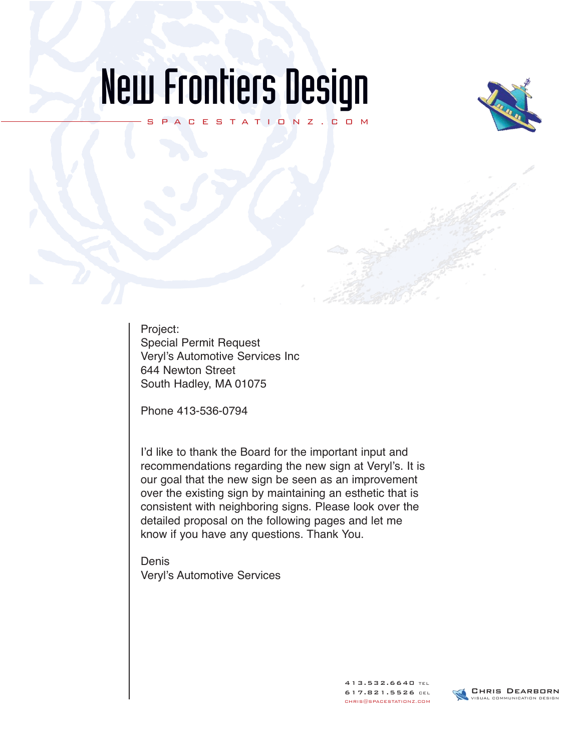## New Frontiers Design

SPACESTATIONZ.COM



Project: Special Permit Request Veryl's Automotive Services Inc 644 Newton Street South Hadley, MA 01075

Phone 413-536-0794

I'd like to thank the Board for the important input and recommendations regarding the new sign at Veryl's. It is our goal that the new sign be seen as an improvement over the existing sign by maintaining an esthetic that is consistent with neighboring signs. Please look over the detailed proposal on the following pages and let me know if you have any questions. Thank You.

Denis Veryl's Automotive Services

> 413.532.6640 TEL 617.821.5526 CEL CHRIS@SPACESTATIONZ.COM

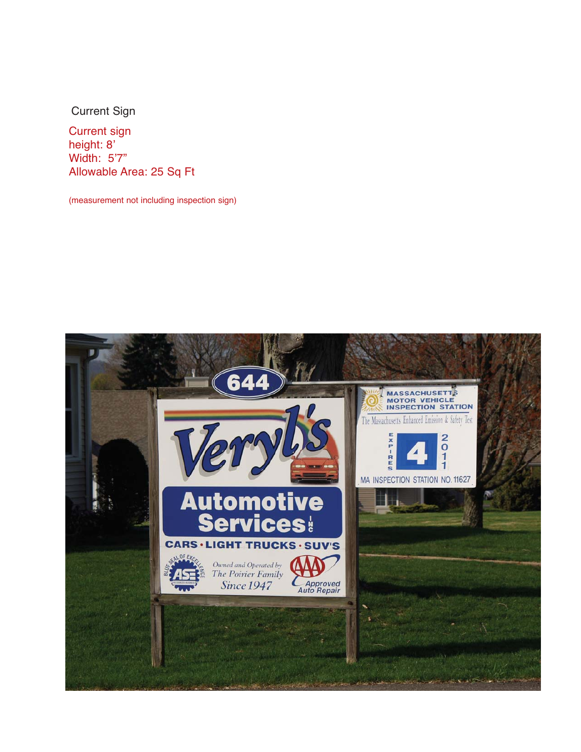Current Sign

Current sign height: 8' Width: 5'7" Allowable Area: 25 Sq Ft

(measurement not including inspection sign)

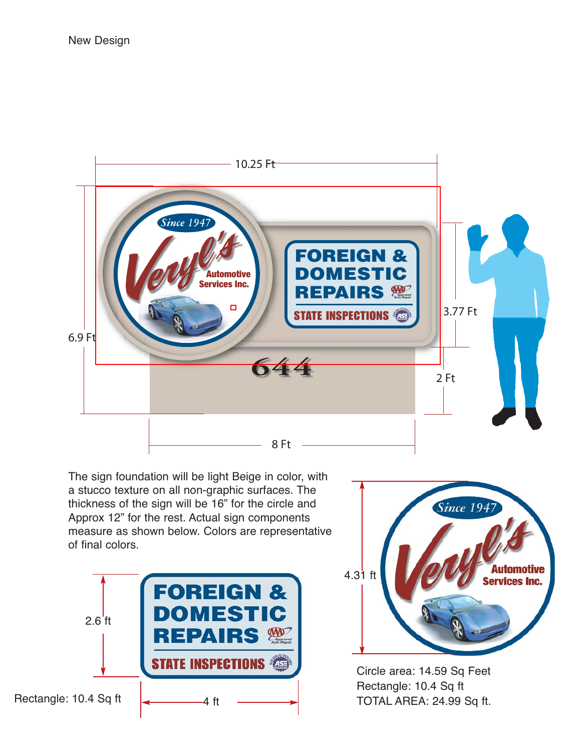

The sign foundation will be light Beige in color, with a stucco texture on all non-graphic surfaces. The thickness of the sign will be 16" for the circle and Approx 12" for the rest. Actual sign components measure as shown below. Colors are representative of final colors.





Circle area: 14.59 Sq Feet Rectangle: 10.4 Sq ft TOTAL AREA: 24.99 Sq ft.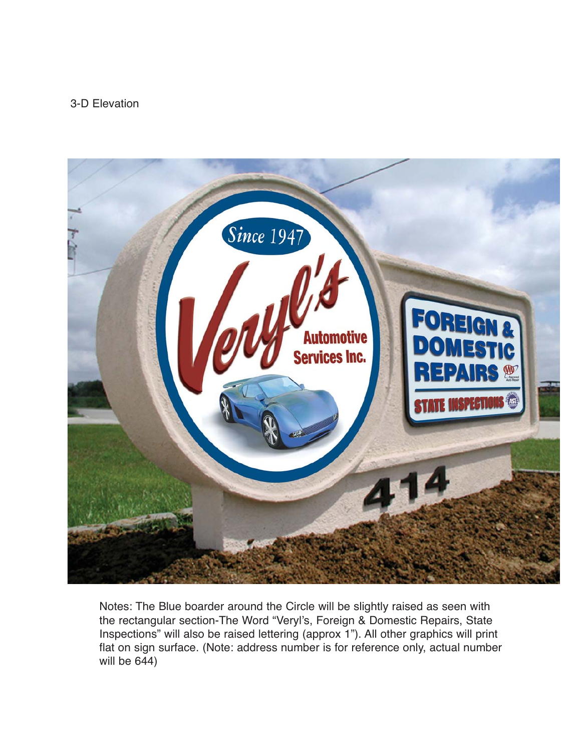## 3-D Elevation



Notes: The Blue boarder around the Circle will be slightly raised as seen with the rectangular section-The Word "Veryl's, Foreign & Domestic Repairs, State Inspections" will also be raised lettering (approx 1"). All other graphics will print flat on sign surface. (Note: address number is for reference only, actual number will be 644)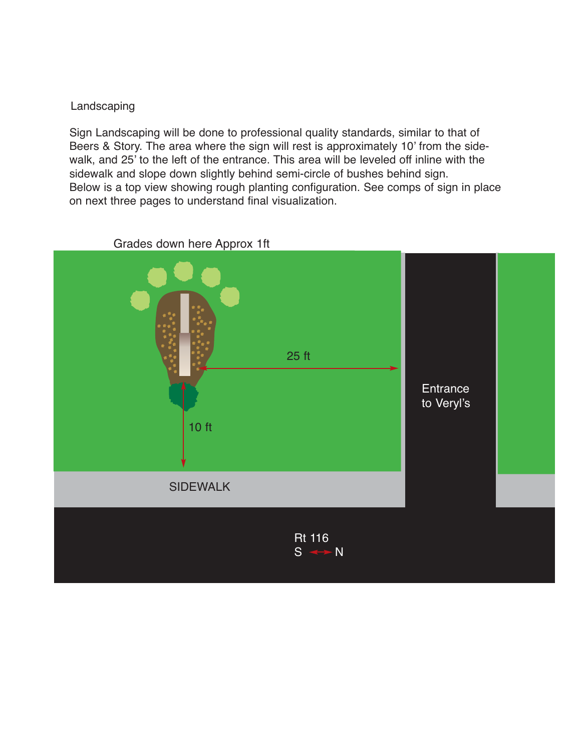## Landscaping

Sign Landscaping will be done to professional quality standards, similar to that of Beers & Story. The area where the sign will rest is approximately 10' from the sidewalk, and 25' to the left of the entrance. This area will be leveled off inline with the sidewalk and slope down slightly behind semi-circle of bushes behind sign. Below is a top view showing rough planting configuration. See comps of sign in place on next three pages to understand final visualization.



Grades down here Approx 1ft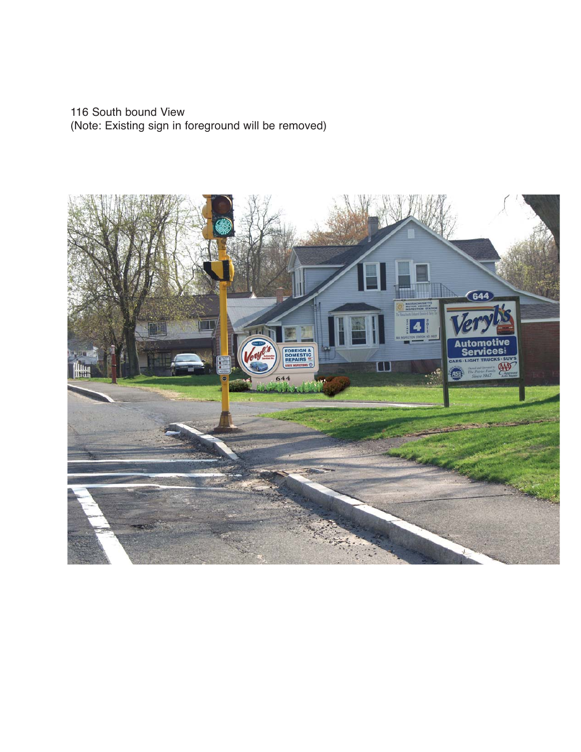116 South bound View (Note: Existing sign in foreground will be removed)